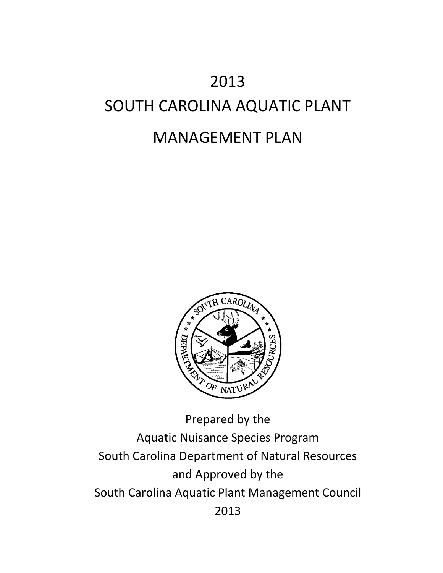# 2013 SOUTH CAROLINA AQUATIC PLANT MANAGEMENT PLAN



Prepared by the Aquatic Nuisance Species Program South Carolina Department of Natural Resources and Approved by the South Carolina Aquatic Plant Management Council 2013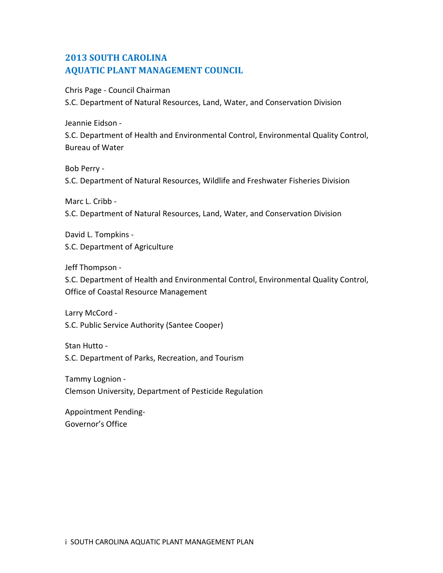# **2013 SOUTH CAROLINA AQUATIC PLANT MANAGEMENT COUNCIL**

Chris Page - Council Chairman

S.C. Department of Natural Resources, Land, Water, and Conservation Division

Jeannie Eidson -

S.C. Department of Health and Environmental Control, Environmental Quality Control, Bureau of Water

Bob Perry -

S.C. Department of Natural Resources, Wildlife and Freshwater Fisheries Division

Marc L. Cribb -

S.C. Department of Natural Resources, Land, Water, and Conservation Division

David L. Tompkins - S.C. Department of Agriculture

Jeff Thompson -

S.C. Department of Health and Environmental Control, Environmental Quality Control, Office of Coastal Resource Management

Larry McCord - S.C. Public Service Authority (Santee Cooper)

Stan Hutto - S.C. Department of Parks, Recreation, and Tourism

Tammy Lognion - Clemson University, Department of Pesticide Regulation

Appointment Pending-Governor's Office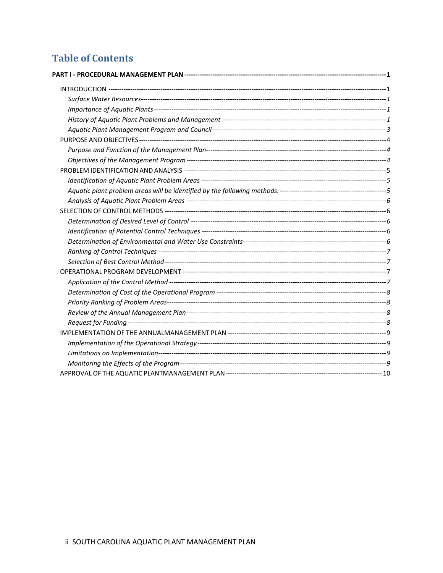# **Table of Contents**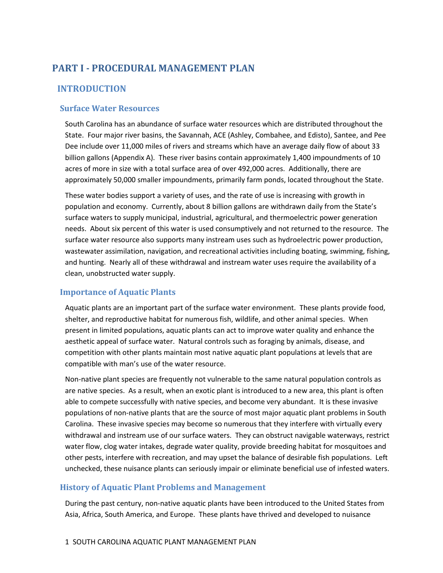# <span id="page-3-0"></span>**PART I - PROCEDURAL MANAGEMENT PLAN**

# <span id="page-3-1"></span>**INTRODUCTION**

## <span id="page-3-2"></span>**Surface Water Resources**

South Carolina has an abundance of surface water resources which are distributed throughout the State. Four major river basins, the Savannah, ACE (Ashley, Combahee, and Edisto), Santee, and Pee Dee include over 11,000 miles of rivers and streams which have an average daily flow of about 33 billion gallons (Appendix A). These river basins contain approximately 1,400 impoundments of 10 acres of more in size with a total surface area of over 492,000 acres. Additionally, there are approximately 50,000 smaller impoundments, primarily farm ponds, located throughout the State.

These water bodies support a variety of uses, and the rate of use is increasing with growth in population and economy. Currently, about 8 billion gallons are withdrawn daily from the State's surface waters to supply municipal, industrial, agricultural, and thermoelectric power generation needs. About six percent of this water is used consumptively and not returned to the resource. The surface water resource also supports many instream uses such as hydroelectric power production, wastewater assimilation, navigation, and recreational activities including boating, swimming, fishing, and hunting. Nearly all of these withdrawal and instream water uses require the availability of a clean, unobstructed water supply.

# <span id="page-3-3"></span>**Importance of Aquatic Plants**

Aquatic plants are an important part of the surface water environment. These plants provide food, shelter, and reproductive habitat for numerous fish, wildlife, and other animal species. When present in limited populations, aquatic plants can act to improve water quality and enhance the aesthetic appeal of surface water. Natural controls such as foraging by animals, disease, and competition with other plants maintain most native aquatic plant populations at levels that are compatible with man's use of the water resource.

Non-native plant species are frequently not vulnerable to the same natural population controls as are native species. As a result, when an exotic plant is introduced to a new area, this plant is often able to compete successfully with native species, and become very abundant. It is these invasive populations of non-native plants that are the source of most major aquatic plant problems in South Carolina. These invasive species may become so numerous that they interfere with virtually every withdrawal and instream use of our surface waters. They can obstruct navigable waterways, restrict water flow, clog water intakes, degrade water quality, provide breeding habitat for mosquitoes and other pests, interfere with recreation, and may upset the balance of desirable fish populations. Left unchecked, these nuisance plants can seriously impair or eliminate beneficial use of infested waters.

# <span id="page-3-4"></span>**History of Aquatic Plant Problems and Management**

During the past century, non-native aquatic plants have been introduced to the United States from Asia, Africa, South America, and Europe. These plants have thrived and developed to nuisance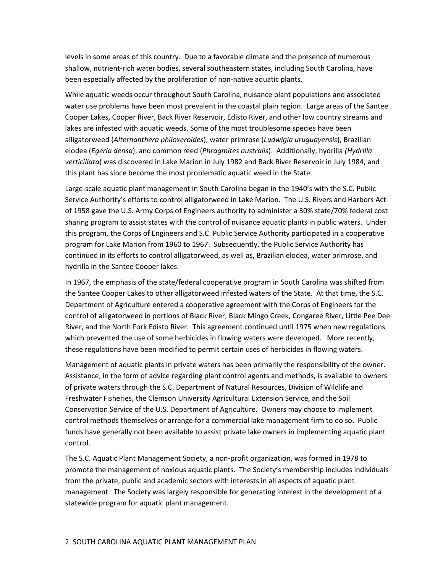levels in some areas of this country. Due to a favorable climate and the presence of numerous shallow, nutrient-rich water bodies, several southeastern states, including South Carolina, have been especially affected by the proliferation of non-native aquatic plants.

While aquatic weeds occur throughout South Carolina, nuisance plant populations and associated water use problems have been most prevalent in the coastal plain region. Large areas of the Santee Cooper Lakes, Cooper River, Back River Reservoir, Edisto River, and other low country streams and lakes are infested with aquatic weeds. Some of the most troublesome species have been alligatorweed (*Alternanthera philoxeroides*), water primrose (*Ludwigia uruguayensis*), Brazilian elodea (*Egeria densa*), and common reed (*Phragmites australis*). Additionally, hydrilla *(Hydrilla verticillata*) was discovered in Lake Marion in July 1982 and Back River Reservoir in July 1984, and this plant has since become the most problematic aquatic weed in the State.

Large-scale aquatic plant management in South Carolina began in the 1940's with the S.C. Public Service Authority's efforts to control alligatorweed in Lake Marion. The U.S. Rivers and Harbors Act of 1958 gave the U.S. Army Corps of Engineers authority to administer a 30% state/70% federal cost sharing program to assist states with the control of nuisance aquatic plants in public waters. Under this program, the Corps of Engineers and S.C. Public Service Authority participated in a cooperative program for Lake Marion from 1960 to 1967. Subsequently, the Public Service Authority has continued in its efforts to control alligatorweed, as well as, Brazilian elodea, water primrose, and hydrilla in the Santee Cooper lakes.

In 1967, the emphasis of the state/federal cooperative program in South Carolina was shifted from the Santee Cooper Lakes to other alligatorweed infested waters of the State. At that time, the S.C. Department of Agriculture entered a cooperative agreement with the Corps of Engineers for the control of alligatorweed in portions of Black River, Black Mingo Creek, Congaree River, Little Pee Dee River, and the North Fork Edisto River. This agreement continued until 1975 when new regulations which prevented the use of some herbicides in flowing waters were developed. More recently, these regulations have been modified to permit certain uses of herbicides in flowing waters.

Management of aquatic plants in private waters has been primarily the responsibility of the owner. Assistance, in the form of advice regarding plant control agents and methods, is available to owners of private waters through the S.C. Department of Natural Resources, Division of Wildlife and Freshwater Fisheries, the Clemson University Agricultural Extension Service, and the Soil Conservation Service of the U.S. Department of Agriculture. Owners may choose to implement control methods themselves or arrange for a commercial lake management firm to do so. Public funds have generally not been available to assist private lake owners in implementing aquatic plant control.

The S.C. Aquatic Plant Management Society, a non-profit organization, was formed in 1978 to promote the management of noxious aquatic plants. The Society's membership includes individuals from the private, public and academic sectors with interests in all aspects of aquatic plant management. The Society was largely responsible for generating interest in the development of a statewide program for aquatic plant management.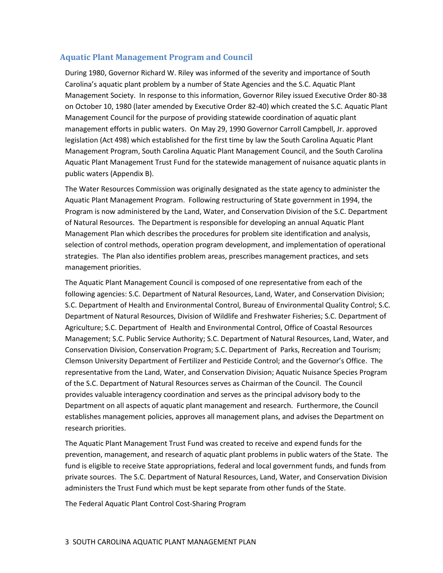# <span id="page-5-0"></span>**Aquatic Plant Management Program and Council**

During 1980, Governor Richard W. Riley was informed of the severity and importance of South Carolina's aquatic plant problem by a number of State Agencies and the S.C. Aquatic Plant Management Society. In response to this information, Governor Riley issued Executive Order 80-38 on October 10, 1980 (later amended by Executive Order 82-40) which created the S.C. Aquatic Plant Management Council for the purpose of providing statewide coordination of aquatic plant management efforts in public waters. On May 29, 1990 Governor Carroll Campbell, Jr. approved legislation (Act 498) which established for the first time by law the South Carolina Aquatic Plant Management Program, South Carolina Aquatic Plant Management Council, and the South Carolina Aquatic Plant Management Trust Fund for the statewide management of nuisance aquatic plants in public waters (Appendix B).

The Water Resources Commission was originally designated as the state agency to administer the Aquatic Plant Management Program. Following restructuring of State government in 1994, the Program is now administered by the Land, Water, and Conservation Division of the S.C. Department of Natural Resources. The Department is responsible for developing an annual Aquatic Plant Management Plan which describes the procedures for problem site identification and analysis, selection of control methods, operation program development, and implementation of operational strategies. The Plan also identifies problem areas, prescribes management practices, and sets management priorities.

The Aquatic Plant Management Council is composed of one representative from each of the following agencies: S.C. Department of Natural Resources, Land, Water, and Conservation Division; S.C. Department of Health and Environmental Control, Bureau of Environmental Quality Control; S.C. Department of Natural Resources, Division of Wildlife and Freshwater Fisheries; S.C. Department of Agriculture; S.C. Department of Health and Environmental Control, Office of Coastal Resources Management; S.C. Public Service Authority; S.C. Department of Natural Resources, Land, Water, and Conservation Division, Conservation Program; S.C. Department of Parks, Recreation and Tourism; Clemson University Department of Fertilizer and Pesticide Control; and the Governor's Office. The representative from the Land, Water, and Conservation Division; Aquatic Nuisance Species Program of the S.C. Department of Natural Resources serves as Chairman of the Council. The Council provides valuable interagency coordination and serves as the principal advisory body to the Department on all aspects of aquatic plant management and research. Furthermore, the Council establishes management policies, approves all management plans, and advises the Department on research priorities.

The Aquatic Plant Management Trust Fund was created to receive and expend funds for the prevention, management, and research of aquatic plant problems in public waters of the State. The fund is eligible to receive State appropriations, federal and local government funds, and funds from private sources. The S.C. Department of Natural Resources, Land, Water, and Conservation Division administers the Trust Fund which must be kept separate from other funds of the State.

The Federal Aquatic Plant Control Cost-Sharing Program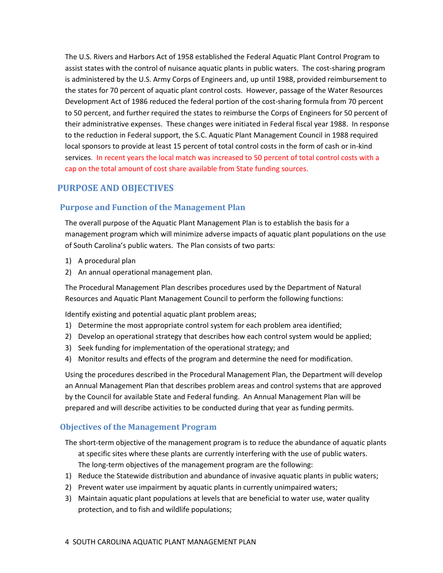The U.S. Rivers and Harbors Act of 1958 established the Federal Aquatic Plant Control Program to assist states with the control of nuisance aquatic plants in public waters. The cost-sharing program is administered by the U.S. Army Corps of Engineers and, up until 1988, provided reimbursement to the states for 70 percent of aquatic plant control costs. However, passage of the Water Resources Development Act of 1986 reduced the federal portion of the cost-sharing formula from 70 percent to 50 percent, and further required the states to reimburse the Corps of Engineers for 50 percent of their administrative expenses. These changes were initiated in Federal fiscal year 1988. In response to the reduction in Federal support, the S.C. Aquatic Plant Management Council in 1988 required local sponsors to provide at least 15 percent of total control costs in the form of cash or in-kind services. In recent years the local match was increased to 50 percent of total control costs with a cap on the total amount of cost share available from State funding sources.

# <span id="page-6-0"></span>**PURPOSE AND OBJECTIVES**

# <span id="page-6-1"></span>**Purpose and Function of the Management Plan**

The overall purpose of the Aquatic Plant Management Plan is to establish the basis for a management program which will minimize adverse impacts of aquatic plant populations on the use of South Carolina's public waters. The Plan consists of two parts:

- 1) A procedural plan
- 2) An annual operational management plan.

The Procedural Management Plan describes procedures used by the Department of Natural Resources and Aquatic Plant Management Council to perform the following functions:

Identify existing and potential aquatic plant problem areas;

- 1) Determine the most appropriate control system for each problem area identified;
- 2) Develop an operational strategy that describes how each control system would be applied;
- 3) Seek funding for implementation of the operational strategy; and
- 4) Monitor results and effects of the program and determine the need for modification.

Using the procedures described in the Procedural Management Plan, the Department will develop an Annual Management Plan that describes problem areas and control systems that are approved by the Council for available State and Federal funding. An Annual Management Plan will be prepared and will describe activities to be conducted during that year as funding permits.

# <span id="page-6-2"></span>**Objectives of the Management Program**

- The short-term objective of the management program is to reduce the abundance of aquatic plants at specific sites where these plants are currently interfering with the use of public waters. The long-term objectives of the management program are the following:
- 1) Reduce the Statewide distribution and abundance of invasive aquatic plants in public waters;
- 2) Prevent water use impairment by aquatic plants in currently unimpaired waters;
- 3) Maintain aquatic plant populations at levels that are beneficial to water use, water quality protection, and to fish and wildlife populations;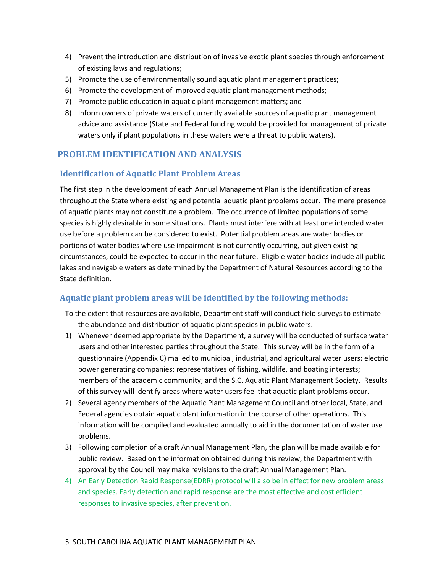- 4) Prevent the introduction and distribution of invasive exotic plant species through enforcement of existing laws and regulations;
- 5) Promote the use of environmentally sound aquatic plant management practices;
- 6) Promote the development of improved aquatic plant management methods;
- 7) Promote public education in aquatic plant management matters; and
- 8) Inform owners of private waters of currently available sources of aquatic plant management advice and assistance (State and Federal funding would be provided for management of private waters only if plant populations in these waters were a threat to public waters).

# <span id="page-7-0"></span>**PROBLEM IDENTIFICATION AND ANALYSIS**

# <span id="page-7-1"></span>**Identification of Aquatic Plant Problem Areas**

The first step in the development of each Annual Management Plan is the identification of areas throughout the State where existing and potential aquatic plant problems occur. The mere presence of aquatic plants may not constitute a problem. The occurrence of limited populations of some species is highly desirable in some situations. Plants must interfere with at least one intended water use before a problem can be considered to exist. Potential problem areas are water bodies or portions of water bodies where use impairment is not currently occurring, but given existing circumstances, could be expected to occur in the near future. Eligible water bodies include all public lakes and navigable waters as determined by the Department of Natural Resources according to the State definition.

# <span id="page-7-2"></span>**Aquatic plant problem areas will be identified by the following methods:**

To the extent that resources are available, Department staff will conduct field surveys to estimate the abundance and distribution of aquatic plant species in public waters.

- 1) Whenever deemed appropriate by the Department, a survey will be conducted of surface water users and other interested parties throughout the State. This survey will be in the form of a questionnaire (Appendix C) mailed to municipal, industrial, and agricultural water users; electric power generating companies; representatives of fishing, wildlife, and boating interests; members of the academic community; and the S.C. Aquatic Plant Management Society. Results of this survey will identify areas where water users feel that aquatic plant problems occur.
- 2) Several agency members of the Aquatic Plant Management Council and other local, State, and Federal agencies obtain aquatic plant information in the course of other operations. This information will be compiled and evaluated annually to aid in the documentation of water use problems.
- 3) Following completion of a draft Annual Management Plan, the plan will be made available for public review. Based on the information obtained during this review, the Department with approval by the Council may make revisions to the draft Annual Management Plan.
- 4) An Early Detection Rapid Response(EDRR) protocol will also be in effect for new problem areas and species. Early detection and rapid response are the most effective and cost efficient responses to invasive species, after prevention.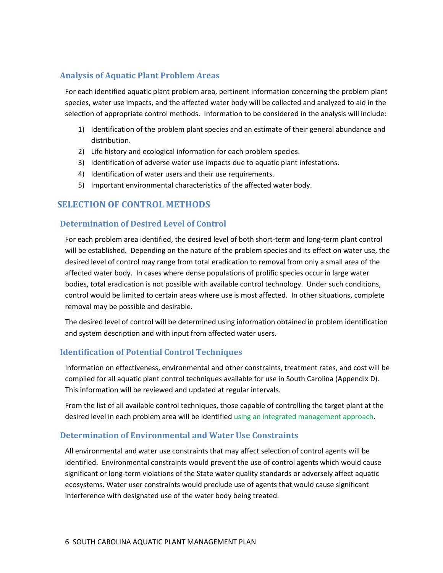## <span id="page-8-0"></span>**Analysis of Aquatic Plant Problem Areas**

For each identified aquatic plant problem area, pertinent information concerning the problem plant species, water use impacts, and the affected water body will be collected and analyzed to aid in the selection of appropriate control methods. Information to be considered in the analysis will include:

- 1) Identification of the problem plant species and an estimate of their general abundance and distribution.
- 2) Life history and ecological information for each problem species.
- 3) Identification of adverse water use impacts due to aquatic plant infestations.
- 4) Identification of water users and their use requirements.
- 5) Important environmental characteristics of the affected water body.

## <span id="page-8-1"></span>**SELECTION OF CONTROL METHODS**

#### <span id="page-8-2"></span>**Determination of Desired Level of Control**

For each problem area identified, the desired level of both short-term and long-term plant control will be established. Depending on the nature of the problem species and its effect on water use, the desired level of control may range from total eradication to removal from only a small area of the affected water body. In cases where dense populations of prolific species occur in large water bodies, total eradication is not possible with available control technology. Under such conditions, control would be limited to certain areas where use is most affected. In other situations, complete removal may be possible and desirable.

The desired level of control will be determined using information obtained in problem identification and system description and with input from affected water users.

#### <span id="page-8-3"></span>**Identification of Potential Control Techniques**

Information on effectiveness, environmental and other constraints, treatment rates, and cost will be compiled for all aquatic plant control techniques available for use in South Carolina (Appendix D). This information will be reviewed and updated at regular intervals.

From the list of all available control techniques, those capable of controlling the target plant at the desired level in each problem area will be identified using an integrated management approach.

#### <span id="page-8-4"></span>**Determination of Environmental and Water Use Constraints**

All environmental and water use constraints that may affect selection of control agents will be identified. Environmental constraints would prevent the use of control agents which would cause significant or long-term violations of the State water quality standards or adversely affect aquatic ecosystems. Water user constraints would preclude use of agents that would cause significant interference with designated use of the water body being treated.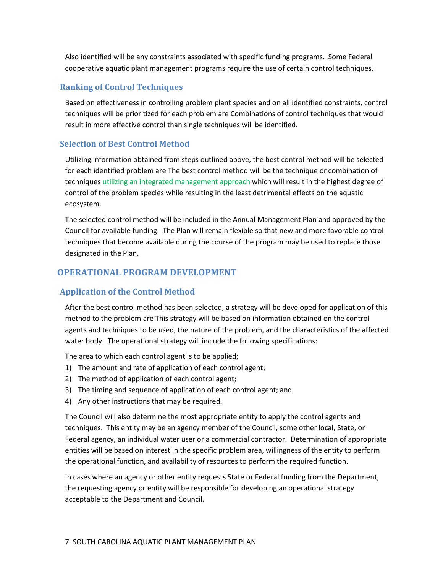Also identified will be any constraints associated with specific funding programs. Some Federal cooperative aquatic plant management programs require the use of certain control techniques.

## <span id="page-9-0"></span>**Ranking of Control Techniques**

Based on effectiveness in controlling problem plant species and on all identified constraints, control techniques will be prioritized for each problem are Combinations of control techniques that would result in more effective control than single techniques will be identified.

# <span id="page-9-1"></span>**Selection of Best Control Method**

Utilizing information obtained from steps outlined above, the best control method will be selected for each identified problem are The best control method will be the technique or combination of techniques utilizing an integrated management approach which will result in the highest degree of control of the problem species while resulting in the least detrimental effects on the aquatic ecosystem.

The selected control method will be included in the Annual Management Plan and approved by the Council for available funding. The Plan will remain flexible so that new and more favorable control techniques that become available during the course of the program may be used to replace those designated in the Plan.

# <span id="page-9-2"></span>**OPERATIONAL PROGRAM DEVELOPMENT**

## <span id="page-9-3"></span>**Application of the Control Method**

After the best control method has been selected, a strategy will be developed for application of this method to the problem are This strategy will be based on information obtained on the control agents and techniques to be used, the nature of the problem, and the characteristics of the affected water body. The operational strategy will include the following specifications:

The area to which each control agent is to be applied;

- 1) The amount and rate of application of each control agent;
- 2) The method of application of each control agent;
- 3) The timing and sequence of application of each control agent; and
- 4) Any other instructions that may be required.

The Council will also determine the most appropriate entity to apply the control agents and techniques. This entity may be an agency member of the Council, some other local, State, or Federal agency, an individual water user or a commercial contractor. Determination of appropriate entities will be based on interest in the specific problem area, willingness of the entity to perform the operational function, and availability of resources to perform the required function.

In cases where an agency or other entity requests State or Federal funding from the Department, the requesting agency or entity will be responsible for developing an operational strategy acceptable to the Department and Council.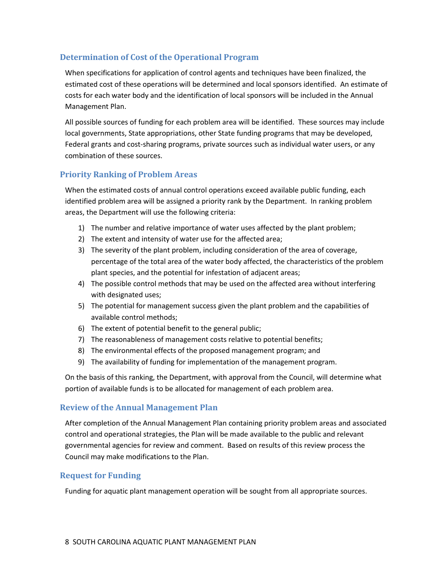# <span id="page-10-0"></span>**Determination of Cost of the Operational Program**

When specifications for application of control agents and techniques have been finalized, the estimated cost of these operations will be determined and local sponsors identified. An estimate of costs for each water body and the identification of local sponsors will be included in the Annual Management Plan.

All possible sources of funding for each problem area will be identified. These sources may include local governments, State appropriations, other State funding programs that may be developed, Federal grants and cost-sharing programs, private sources such as individual water users, or any combination of these sources.

## <span id="page-10-1"></span>**Priority Ranking of Problem Areas**

When the estimated costs of annual control operations exceed available public funding, each identified problem area will be assigned a priority rank by the Department. In ranking problem areas, the Department will use the following criteria:

- 1) The number and relative importance of water uses affected by the plant problem;
- 2) The extent and intensity of water use for the affected area;
- 3) The severity of the plant problem, including consideration of the area of coverage, percentage of the total area of the water body affected, the characteristics of the problem plant species, and the potential for infestation of adjacent areas;
- 4) The possible control methods that may be used on the affected area without interfering with designated uses;
- 5) The potential for management success given the plant problem and the capabilities of available control methods;
- 6) The extent of potential benefit to the general public;
- 7) The reasonableness of management costs relative to potential benefits;
- 8) The environmental effects of the proposed management program; and
- 9) The availability of funding for implementation of the management program.

On the basis of this ranking, the Department, with approval from the Council, will determine what portion of available funds is to be allocated for management of each problem area.

#### <span id="page-10-2"></span>**Review of the Annual Management Plan**

After completion of the Annual Management Plan containing priority problem areas and associated control and operational strategies, the Plan will be made available to the public and relevant governmental agencies for review and comment. Based on results of this review process the Council may make modifications to the Plan.

#### <span id="page-10-3"></span>**Request for Funding**

Funding for aquatic plant management operation will be sought from all appropriate sources.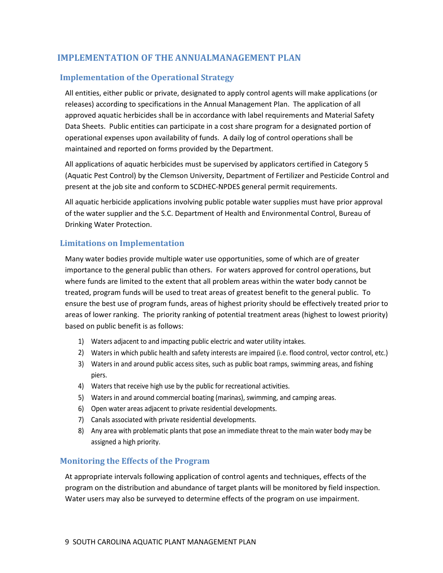# <span id="page-11-0"></span>**IMPLEMENTATION OF THE ANNUALMANAGEMENT PLAN**

# <span id="page-11-1"></span>**Implementation of the Operational Strategy**

All entities, either public or private, designated to apply control agents will make applications (or releases) according to specifications in the Annual Management Plan. The application of all approved aquatic herbicides shall be in accordance with label requirements and Material Safety Data Sheets. Public entities can participate in a cost share program for a designated portion of operational expenses upon availability of funds. A daily log of control operations shall be maintained and reported on forms provided by the Department.

All applications of aquatic herbicides must be supervised by applicators certified in Category 5 (Aquatic Pest Control) by the Clemson University, Department of Fertilizer and Pesticide Control and present at the job site and conform to SCDHEC-NPDES general permit requirements.

All aquatic herbicide applications involving public potable water supplies must have prior approval of the water supplier and the S.C. Department of Health and Environmental Control, Bureau of Drinking Water Protection.

# <span id="page-11-2"></span>**Limitations on Implementation**

Many water bodies provide multiple water use opportunities, some of which are of greater importance to the general public than others. For waters approved for control operations, but where funds are limited to the extent that all problem areas within the water body cannot be treated, program funds will be used to treat areas of greatest benefit to the general public. To ensure the best use of program funds, areas of highest priority should be effectively treated prior to areas of lower ranking. The priority ranking of potential treatment areas (highest to lowest priority) based on public benefit is as follows:

- 1) Waters adjacent to and impacting public electric and water utility intakes.
- 2) Waters in which public health and safety interests are impaired (i.e. flood control, vector control, etc.)
- 3) Waters in and around public access sites, such as public boat ramps, swimming areas, and fishing piers.
- 4) Waters that receive high use by the public for recreational activities.
- 5) Waters in and around commercial boating (marinas), swimming, and camping areas.
- 6) Open water areas adjacent to private residential developments.
- 7) Canals associated with private residential developments.
- 8) Any area with problematic plants that pose an immediate threat to the main water body may be assigned a high priority.

#### <span id="page-11-3"></span>**Monitoring the Effects of the Program**

At appropriate intervals following application of control agents and techniques, effects of the program on the distribution and abundance of target plants will be monitored by field inspection. Water users may also be surveyed to determine effects of the program on use impairment.